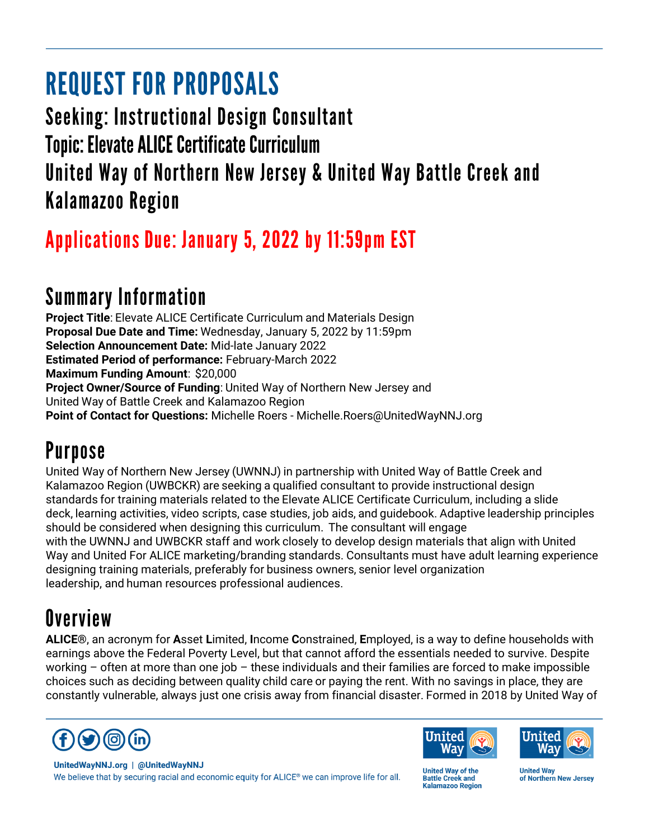# **REQUEST FOR PROPOSALS**

**Seeking: Instructional Design Consultant Topic: Elevate ALICE Certificate Curriculum** United Way of Northern New Jersey & United Way Battle Creek and **Kalamazoo Region** 

# Applications Due: January 5, 2022 by 11:59pm EST

### **Summary Information**

**Project Title**: Elevate ALICE Certificate Curriculum and Materials Design **Proposal Due Date and Time:** Wednesday, January 5, 2022 by 11:59pm **Selection Announcement Date:** Mid-late January 2022 **Estimated Period of performance:** February-March 2022 **Maximum Funding Amount**:  \$20,000 **Project Owner/Source of Funding**: United Way of Northern New Jersey and United Way of Battle Creek and Kalamazoo Region **Point of Contact for Questions:** Michelle Roers - Michelle.Roers@UnitedWayNNJ.org

# **Purpose**

United Way of Northern New Jersey (UWNNJ) in partnership with United Way of Battle Creek and Kalamazoo Region (UWBCKR) are seeking a qualified consultant to provide instructional design standards for training materials related to the Elevate ALICE Certificate Curriculum, including a slide deck, learning activities, video scripts, case studies, job aids, and guidebook. Adaptive leadership principles should be considered when designing this curriculum.  The consultant will engage with the UWNNJ and UWBCKR staff and work closely to develop design materials that align with United Way and United For ALICE marketing/branding standards. Consultants must have adult learning experience designing training materials, preferably for business owners, senior level organization leadership, and human resources professional audiences.

# **Overview**

**ALICE®**, an acronym for **A**sset **L**imited, **I**ncome **C**onstrained, **E**mployed, is a way to define households with earnings above the Federal Poverty Level, but that cannot afford the essentials needed to survive. Despite working – often at more than one job – these individuals and their families are forced to make impossible choices such as deciding between quality child care or paying the rent. With no savings in place, they are constantly vulnerable, always just one crisis away from financial disaster. Formed in 2018 by United Way of







UnitedWayNNJ.org | @UnitedWayNNJ We believe that by securing racial and economic equity for ALICE® we can improve life for all.

**United Way of the Battle Creek and Kalamazoo Region**  **United Way** of Northern New Jersey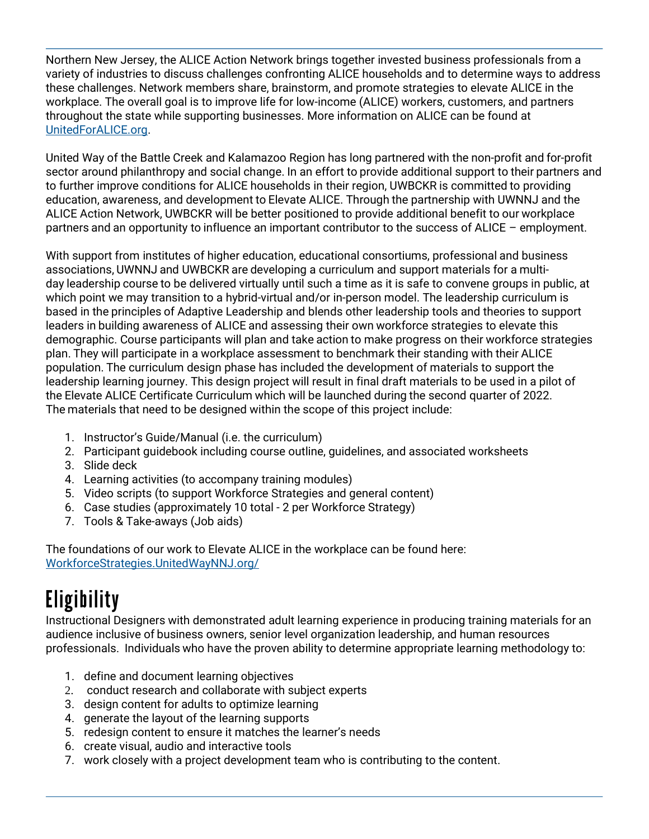Northern New Jersey, the ALICE Action Network brings together invested business professionals from a variety of industries to discuss challenges confronting ALICE households and to determine ways to address these challenges. Network members share, brainstorm, and promote strategies to elevate ALICE in the workplace. The overall goal is to improve life for low-income (ALICE) workers, customers, and partners throughout the state while supporting businesses. More information on ALICE can be found at [UnitedForALICE.org.](https://www.unitedforalice.org/)

United Way of the Battle Creek and Kalamazoo Region has long partnered with the non-profit and for-profit sector around philanthropy and social change. In an effort to provide additional support to their partners and to further improve conditions for ALICE households in their region, UWBCKR is committed to providing education, awareness, and development to Elevate ALICE. Through the partnership with UWNNJ and the ALICE Action Network, UWBCKR will be better positioned to provide additional benefit to our workplace partners and an opportunity to influence an important contributor to the success of ALICE – employment.

With support from institutes of higher education, educational consortiums, professional and business associations, UWNNJ and UWBCKR are developing a curriculum and support materials for a multiday leadership course to be delivered virtually until such a time as it is safe to convene groups in public, at which point we may transition to a hybrid-virtual and/or in-person model. The leadership curriculum is based in the principles of Adaptive Leadership and blends other leadership tools and theories to support leaders in building awareness of ALICE and assessing their own workforce strategies to elevate this demographic. Course participants will plan and take action to make progress on their workforce strategies plan. They will participate in a workplace assessment to benchmark their standing with their ALICE population. The curriculum design phase has included the development of materials to support the leadership learning journey. This design project will result in final draft materials to be used in a pilot of the Elevate ALICE Certificate Curriculum which will be launched during the second quarter of 2022. The materials that need to be designed within the scope of this project include:

- 1. Instructor's Guide/Manual (i.e. the curriculum)
- 2. Participant guidebook including course outline, guidelines, and associated worksheets
- 3. Slide deck
- 4. Learning activities (to accompany training modules)
- 5. Video scripts (to support Workforce Strategies and general content)
- 6. Case studies (approximately 10 total 2 per Workforce Strategy)
- 7. Tools & Take-aways (Job aids)

The foundations of our work to Elevate ALICE in the workplace can be found here: [WorkforceStrategies.UnitedWayNNJ.org/](https://workforcestrategies.unitedwaynnj.org/)

# **Eligibility**

Instructional Designers with demonstrated adult learning experience in producing training materials for an audience inclusive of business owners, senior level organization leadership, and human resources professionals. Individuals who have the proven ability to determine appropriate learning methodology to:

- 1. define and document learning objectives
- 2. conduct research and collaborate with subject experts
- 3. design content for adults to optimize learning
- 4. generate the layout of the learning supports
- 5. redesign content to ensure it matches the learner's needs
- 6. create visual, audio and interactive tools
- 7. work closely with a project development team who is contributing to the content.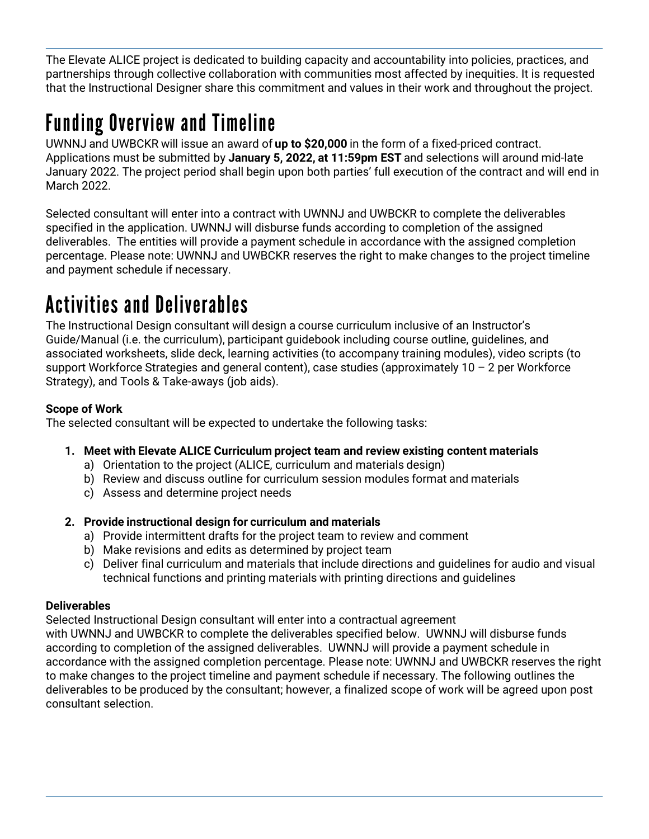The Elevate ALICE project is dedicated to building capacity and accountability into policies, practices, and partnerships through collective collaboration with communities most affected by inequities. It is requested that the Instructional Designer share this commitment and values in their work and throughout the project.

# **Funding Overview and Timeline**

UWNNJ and UWBCKR will issue an award of **up to \$20,000** in the form of a fixed-priced contract. Applications must be submitted by **January 5, 2022, at 11:59pm EST** and selections will around mid-late January 2022. The project period shall begin upon both parties' full execution of the contract and will end in March 2022.   

Selected consultant will enter into a contract with UWNNJ and UWBCKR to complete the deliverables specified in the application. UWNNJ will disburse funds according to completion of the assigned deliverables. The entities will provide a payment schedule in accordance with the assigned completion percentage. Please note: UWNNJ and UWBCKR reserves the right to make changes to the project timeline and payment schedule if necessary.

### **Activities and Deliverables**

The Instructional Design consultant will design a course curriculum inclusive of an Instructor's Guide/Manual (i.e. the curriculum), participant guidebook including course outline, guidelines, and associated worksheets, slide deck, learning activities (to accompany training modules), video scripts (to support Workforce Strategies and general content), case studies (approximately 10 - 2 per Workforce Strategy), and Tools & Take-aways (job aids).

#### **Scope of Work**

The selected consultant will be expected to undertake the following tasks:

#### **1. Meet with Elevate ALICE Curriculum project team and review existing content materials**

- a) Orientation to the project (ALICE, curriculum and materials design)
- b) Review and discuss outline for curriculum session modules format and materials
- c) Assess and determine project needs

#### **2. Provide instructional design for curriculum and materials**

- a) Provide intermittent drafts for the project team to review and comment
- b) Make revisions and edits as determined by project team
- c) Deliver final curriculum and materials that include directions and guidelines for audio and visual technical functions and printing materials with printing directions and guidelines

#### **Deliverables**

Selected Instructional Design consultant will enter into a contractual agreement

with UWNNJ and UWBCKR to complete the deliverables specified below. UWNNJ will disburse funds according to completion of the assigned deliverables. UWNNJ will provide a payment schedule in accordance with the assigned completion percentage. Please note: UWNNJ and UWBCKR reserves the right to make changes to the project timeline and payment schedule if necessary. The following outlines the deliverables to be produced by the consultant; however, a finalized scope of work will be agreed upon post consultant selection.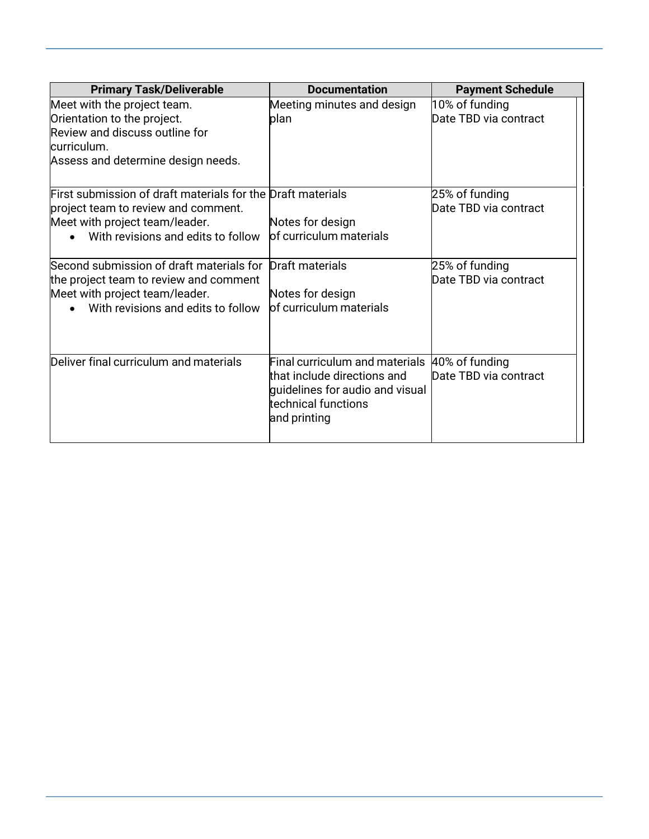| <b>Primary Task/Deliverable</b>                                                                                                                                            | <b>Documentation</b>                                                                                                                    | <b>Payment Schedule</b>                 |
|----------------------------------------------------------------------------------------------------------------------------------------------------------------------------|-----------------------------------------------------------------------------------------------------------------------------------------|-----------------------------------------|
| Meet with the project team.<br>Orientation to the project.<br>Review and discuss outline for<br>lcurriculum.<br>Assess and determine design needs.                         | Meeting minutes and design<br>plan                                                                                                      | 10% of funding<br>Date TBD via contract |
| First submission of draft materials for the Draft materials<br>project team to review and comment.<br>Meet with project team/leader.<br>With revisions and edits to follow | Notes for design<br>of curriculum materials                                                                                             | 25% of funding<br>Date TBD via contract |
| Second submission of draft materials for<br>the project team to review and comment<br>Meet with project team/leader.<br>With revisions and edits to follow                 | Draft materials<br>Notes for design<br>of curriculum materials                                                                          | 25% of funding<br>Date TBD via contract |
| Deliver final curriculum and materials                                                                                                                                     | Final curriculum and materials<br>that include directions and<br>quidelines for audio and visual<br>technical functions<br>and printing | 40% of funding<br>Date TBD via contract |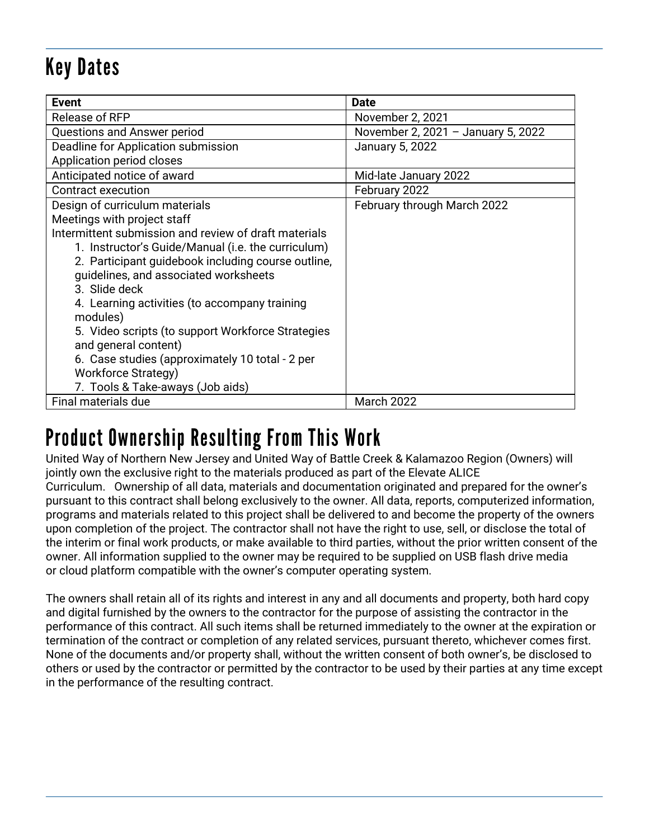# **Key Dates**

| Event                                                 | <b>Date</b>                        |
|-------------------------------------------------------|------------------------------------|
| Release of RFP                                        | November 2, 2021                   |
| Questions and Answer period                           | November 2, 2021 - January 5, 2022 |
| Deadline for Application submission                   | January 5, 2022                    |
| Application period closes                             |                                    |
| Anticipated notice of award                           | Mid-late January 2022              |
| <b>Contract execution</b>                             | February 2022                      |
| Design of curriculum materials                        | February through March 2022        |
| Meetings with project staff                           |                                    |
| Intermittent submission and review of draft materials |                                    |
| 1. Instructor's Guide/Manual (i.e. the curriculum)    |                                    |
| 2. Participant guidebook including course outline,    |                                    |
| guidelines, and associated worksheets                 |                                    |
| 3. Slide deck                                         |                                    |
| 4. Learning activities (to accompany training         |                                    |
| modules)                                              |                                    |
| 5. Video scripts (to support Workforce Strategies     |                                    |
| and general content)                                  |                                    |
| 6. Case studies (approximately 10 total - 2 per       |                                    |
| <b>Workforce Strategy)</b>                            |                                    |
| 7. Tools & Take-aways (Job aids)                      |                                    |
| Final materials due                                   | <b>March 2022</b>                  |

### **Product Ownership Resulting From This Work**

United Way of Northern New Jersey and United Way of Battle Creek & Kalamazoo Region (Owners) will jointly own the exclusive right to the materials produced as part of the Elevate ALICE Curriculum. Ownership of all data, materials and documentation originated and prepared for the owner's pursuant to this contract shall belong exclusively to the owner. All data, reports, computerized information, programs and materials related to this project shall be delivered to and become the property of the owners upon completion of the project. The contractor shall not have the right to use, sell, or disclose the total of the interim or final work products, or make available to third parties, without the prior written consent of the owner. All information supplied to the owner may be required to be supplied on USB flash drive media or cloud platform compatible with the owner's computer operating system.

The owners shall retain all of its rights and interest in any and all documents and property, both hard copy and digital furnished by the owners to the contractor for the purpose of assisting the contractor in the performance of this contract. All such items shall be returned immediately to the owner at the expiration or termination of the contract or completion of any related services, pursuant thereto, whichever comes first. None of the documents and/or property shall, without the written consent of both owner's, be disclosed to others or used by the contractor or permitted by the contractor to be used by their parties at any time except in the performance of the resulting contract.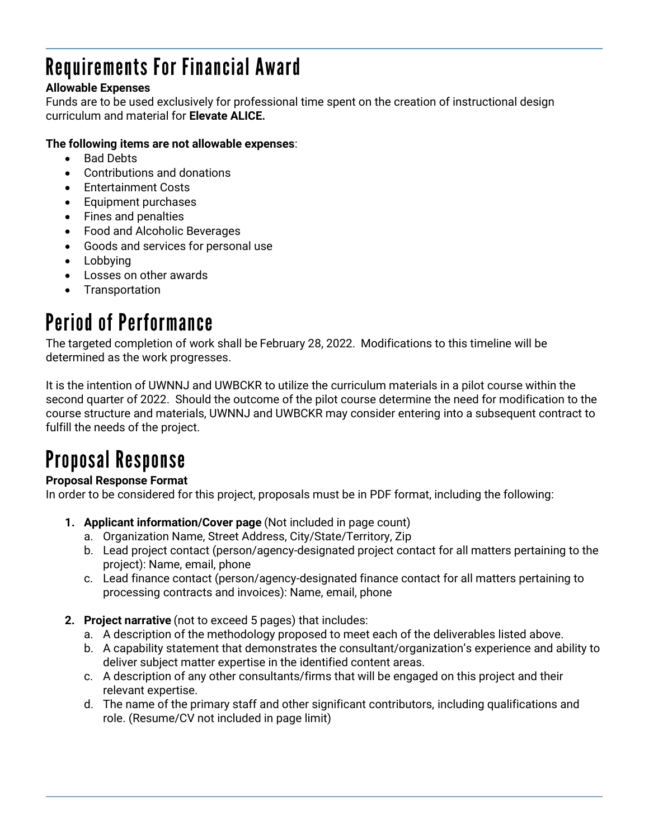# **Requirements For Financial Award**

#### **Allowable Expenses**

Funds are to be used exclusively for professional time spent on the creation of instructional design curriculum and material for **Elevate ALICE.**

#### **The following items are not allowable expenses**:

- Bad Debts
- Contributions and donations
- Entertainment Costs
- Equipment purchases
- Fines and penalties
- Food and Alcoholic Beverages
- Goods and services for personal use
- Lobbying
- Losses on other awards
- Transportation

### **Period of Performance**

The targeted completion of work shall be February 28, 2022. Modifications to this timeline will be determined as the work progresses.

It is the intention of UWNNJ and UWBCKR to utilize the curriculum materials in a pilot course within the second quarter of 2022. Should the outcome of the pilot course determine the need for modification to the course structure and materials, UWNNJ and UWBCKR may consider entering into a subsequent contract to fulfill the needs of the project.

# **Proposal Response**

#### **Proposal Response Format**

In order to be considered for this project, proposals must be in PDF format, including the following:

- **1. Applicant information/Cover page** (Not included in page count)
	- a. Organization Name, Street Address, City/State/Territory, Zip
	- b. Lead project contact (person/agency-designated project contact for all matters pertaining to the project): Name, email, phone
	- c. Lead finance contact (person/agency-designated finance contact for all matters pertaining to processing contracts and invoices): Name, email, phone
- **2. Project narrative** (not to exceed 5 pages) that includes:
	- a. A description of the methodology proposed to meet each of the deliverables listed above.
	- b. A capability statement that demonstrates the consultant/organization's experience and ability to deliver subject matter expertise in the identified content areas.
	- c. A description of any other consultants/firms that will be engaged on this project and their relevant expertise.
	- d. The name of the primary staff and other significant contributors, including qualifications and role. (Resume/CV not included in page limit)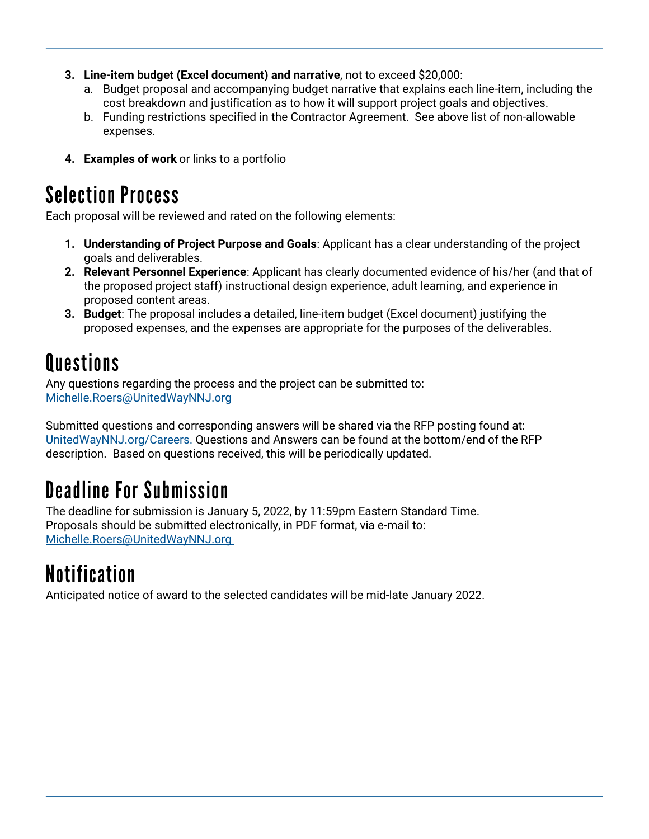- **3. Line-item budget (Excel document) and narrative**, not to exceed \$20,000:
	- a. Budget proposal and accompanying budget narrative that explains each line-item, including the cost breakdown and justification as to how it will support project goals and objectives.
	- b. Funding restrictions specified in the Contractor Agreement. See above list of non-allowable expenses.
- **4. Examples of work** or links to a portfolio

### **Selection Process**

Each proposal will be reviewed and rated on the following elements:

- **1. Understanding of Project Purpose and Goals**: Applicant has a clear understanding of the project goals and deliverables.
- **2. Relevant Personnel Experience**: Applicant has clearly documented evidence of his/her (and that of the proposed project staff) instructional design experience, adult learning, and experience in proposed content areas.
- **3. Budget**: The proposal includes a detailed, line-item budget (Excel document) justifying the proposed expenses, and the expenses are appropriate for the purposes of the deliverables.

### **Questions**

Any questions regarding the process and the project can be submitted to: [Michelle.Roers@UnitedWayNNJ.org](mailto:Michelle.Roers@UnitedWayNNJ.org )

Submitted questions and corresponding answers will be shared via the RFP posting found at: [UnitedWayNNJ.org/Careers.](https://www.unitedwaynnj.org/careers.) Questions and Answers can be found at the bottom/end of the RFP description. Based on questions received, this will be periodically updated.

### **Deadline For Submission**

The deadline for submission is January 5, 2022, by 11:59pm Eastern Standard Time. Proposals should be submitted electronically, in PDF format, via e-mail to: [Michelle.Roers@UnitedWayNNJ.org](mailto:Michelle.Roers@UnitedWayNNJ.org )

# **Notification**

Anticipated notice of award to the selected candidates will be mid-late January 2022.